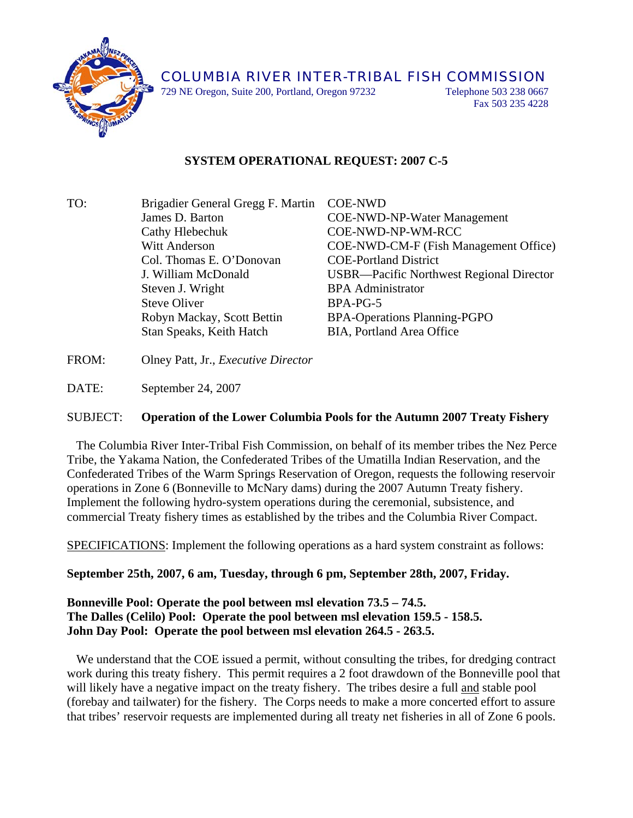

729 NE Oregon, Suite 200, Portland, Oregon 97232 Telephone 503 238 0667

Fax 503 235 4228

## **SYSTEM OPERATIONAL REQUEST: 2007 C-5**

- TO: Brigadier General Gregg F. Martin COE-NWD James D. Barton COE-NWD-NP-Water Management Cathy Hlebechuk COE-NWD-NP-WM-RCC Witt Anderson COE-NWD-CM-F (Fish Management Office) Col. Thomas E. O'Donovan COE-Portland District J. William McDonald USBR—Pacific Northwest Regional Director Steven J. Wright BPA Administrator Steve Oliver BPA-PG-5 Robyn Mackay, Scott Bettin BPA-Operations Planning-PGPO Stan Speaks, Keith Hatch BIA, Portland Area Office
- FROM: Olney Patt, Jr., *Executive Director*

DATE: September 24, 2007

## SUBJECT: **Operation of the Lower Columbia Pools for the Autumn 2007 Treaty Fishery**

 The Columbia River Inter-Tribal Fish Commission, on behalf of its member tribes the Nez Perce Tribe, the Yakama Nation, the Confederated Tribes of the Umatilla Indian Reservation, and the Confederated Tribes of the Warm Springs Reservation of Oregon, requests the following reservoir operations in Zone 6 (Bonneville to McNary dams) during the 2007 Autumn Treaty fishery. Implement the following hydro-system operations during the ceremonial, subsistence, and commercial Treaty fishery times as established by the tribes and the Columbia River Compact.

SPECIFICATIONS: Implement the following operations as a hard system constraint as follows:

**September 25th, 2007, 6 am, Tuesday, through 6 pm, September 28th, 2007, Friday.** 

## **Bonneville Pool: Operate the pool between msl elevation 73.5 – 74.5. The Dalles (Celilo) Pool: Operate the pool between msl elevation 159.5 - 158.5. John Day Pool: Operate the pool between msl elevation 264.5 - 263.5.**

 We understand that the COE issued a permit, without consulting the tribes, for dredging contract work during this treaty fishery. This permit requires a 2 foot drawdown of the Bonneville pool that will likely have a negative impact on the treaty fishery. The tribes desire a full and stable pool (forebay and tailwater) for the fishery. The Corps needs to make a more concerted effort to assure that tribes' reservoir requests are implemented during all treaty net fisheries in all of Zone 6 pools.